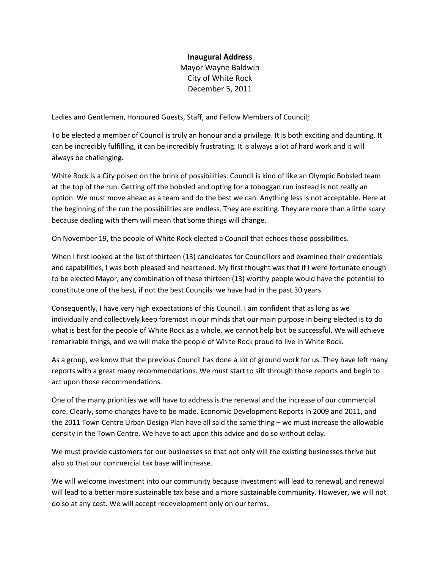## **Inaugural Address**

Mayor Wayne Baldwin City of White Rock December 5, 2011

Ladies and Gentlemen, Honoured Guests, Staff, and Fellow Members of Council;

To be elected a member of Council is truly an honour and a privilege. It is both exciting and daunting. It can be incredibly fulfilling, it can be incredibly frustrating. It is always a lot of hard work and it will always be challenging.

White Rock is a City poised on the brink of possibilities. Council is kind of like an Olympic Bobsled team at the top of the run. Getting off the bobsled and opting for a toboggan run instead is not really an option. We must move ahead as a team and do the best we can. Anything less is not acceptable. Here at the beginning of the run the possibilities are endless. They are exciting. They are more than a little scary because dealing with them will mean that some things will change.

On November 19, the people of White Rock elected a Council that echoes those possibilities.

When I first looked at the list of thirteen (13) candidates for Councillors and examined their credentials and capabilities, I was both pleased and heartened. My first thought was that if I were fortunate enough to be elected Mayor, any combination of these thirteen (13) worthy people would have the potential to constitute one of the best, if not the best Councils we have had in the past 30 years.

Consequently, I have very high expectations of this Council. I am confident that as long as we individually and collectively keep foremost in our minds that our main purpose in being elected is to do what is best for the people of White Rock as a whole, we cannot help but be successful. We will achieve remarkable things, and we will make the people of White Rock proud to live in White Rock.

As a group, we know that the previous Council has done a lot of ground work for us. They have left many reports with a great many recommendations. We must start to sift through those reports and begin to act upon those recommendations.

One of the many priorities we will have to address is the renewal and the increase of our commercial core. Clearly, some changes have to be made. Economic Development Reports in 2009 and 2011, and the 2011 Town Centre Urban Design Plan have all said the same thing – we must increase the allowable density in the Town Centre. We have to act upon this advice and do so without delay.

We must provide customers for our businesses so that not only will the existing businesses thrive but also so that our commercial tax base will increase.

We will welcome investment into our community because investment will lead to renewal, and renewal will lead to a better more sustainable tax base and a more sustainable community. However, we will not do so at any cost. We will accept redevelopment only on our terms.